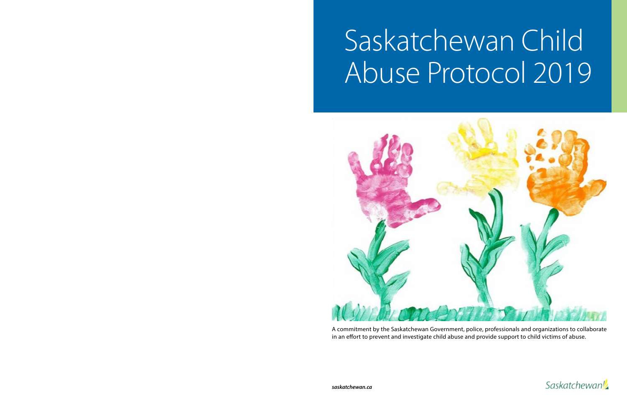# Saskatchewan Child Abuse Protocol 2019



A commitment by the Saskatchewan Government, police, professionals and organizations to collaborate in an effort to prevent and investigate child abuse and provide support to child victims of abuse.

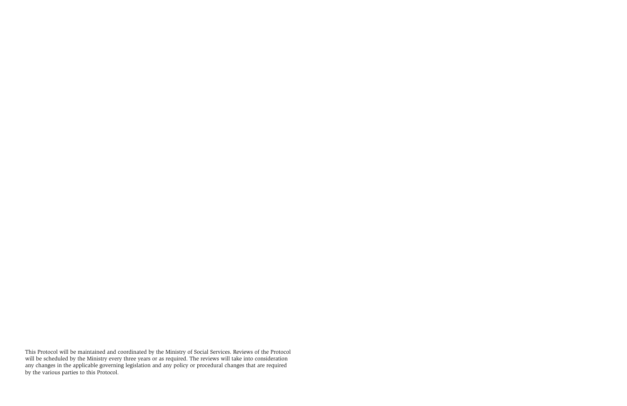This Protocol will be maintained and coordinated by the Ministry of Social Services. Reviews of the Protocol will be scheduled by the Ministry every three years or as required. The reviews will take into consideration any changes in the applicable governing legislation and any policy or procedural changes that are required by the various parties to this Protocol.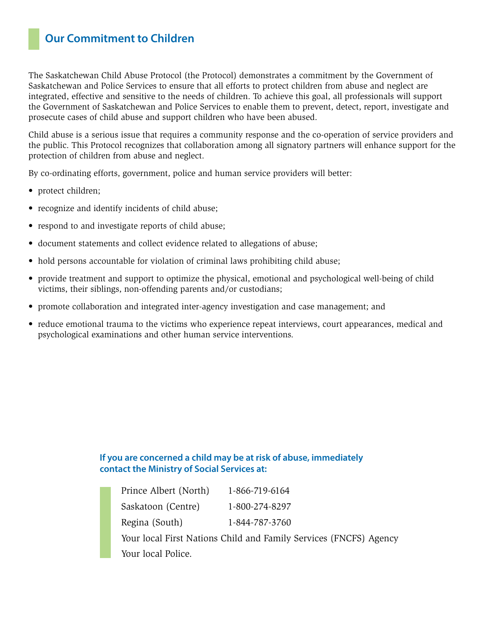# **Our Commitment to Children**

The Saskatchewan Child Abuse Protocol (the Protocol) demonstrates a commitment by the Government of Saskatchewan and Police Services to ensure that all efforts to protect children from abuse and neglect are integrated, effective and sensitive to the needs of children. To achieve this goal, all professionals will support the Government of Saskatchewan and Police Services to enable them to prevent, detect, report, investigate and prosecute cases of child abuse and support children who have been abused.

Child abuse is a serious issue that requires a community response and the co-operation of service providers and the public. This Protocol recognizes that collaboration among all signatory partners will enhance support for the protection of children from abuse and neglect.

By co-ordinating efforts, government, police and human service providers will better:

- protect children;
- recognize and identify incidents of child abuse;
- respond to and investigate reports of child abuse;
- document statements and collect evidence related to allegations of abuse;
- hold persons accountable for violation of criminal laws prohibiting child abuse;
- provide treatment and support to optimize the physical, emotional and psychological well-being of child victims, their siblings, non-offending parents and/or custodians;
- promote collaboration and integrated inter-agency investigation and case management; and
- reduce emotional trauma to the victims who experience repeat interviews, court appearances, medical and psychological examinations and other human service interventions.

#### **If you are concerned a child may be at risk of abuse, immediately contact the Ministry of Social Services at:**

| Prince Albert (North) | 1-866-719-6164                                                    |
|-----------------------|-------------------------------------------------------------------|
| Saskatoon (Centre)    | 1-800-274-8297                                                    |
| Regina (South)        | 1-844-787-3760                                                    |
|                       | Your local First Nations Child and Family Services (FNCFS) Agency |
| Your local Police.    |                                                                   |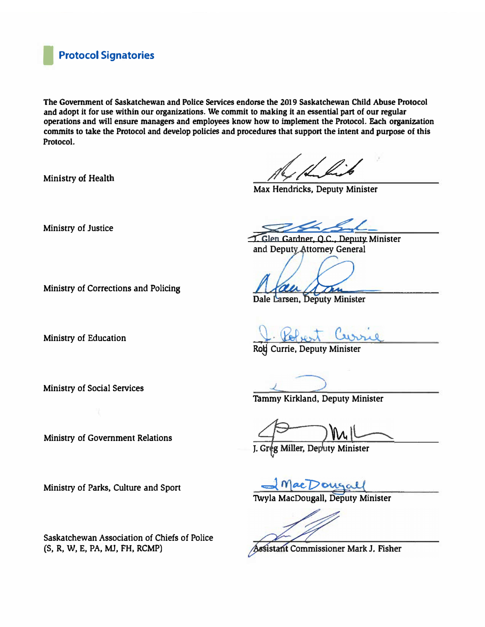### **I Protocol Signatories**

**The Government of Saskatchewan and Police Services endorse the 2019 Saskatchewan Child Abuse Protocol and adopt it for use within our organizations. We commit to making it an essential part of our regular operations and will ensure managers and employees know how to implement the Protocol. Each organization commits to take the Protocol and develop policies and procedures that support the intent and purpose of this Protocol.** 

**Ministry of Health** 

**Max Hendricks, Deputy Minister** 

**Ministry of Justice** 

**Ministry of Corrections and Policing** 

**Ministry of Education** 

**Ministry of Social Services** 

**Ministry of Government Relations** 

**Ministry of Parks, Culture and Sport** 

**Saskatchewan Association of Chiefs of Police (S, R, W, E, PA, MJ, FH, RCMP)** 

*�*

*7. Glen Gardner, Q.C., Deputy Minister and Deputy Attorney General* 

Dale Larsen, Deputy Minister

Ro� **Currie, Deputy Minister**

**Tammy Kirkland, Deputy Minister** 

**ty Minister**  J. Gr

**1\vyla MacDougall, Deputy Minister** 

ssistant Commissioner Mark J. Fisher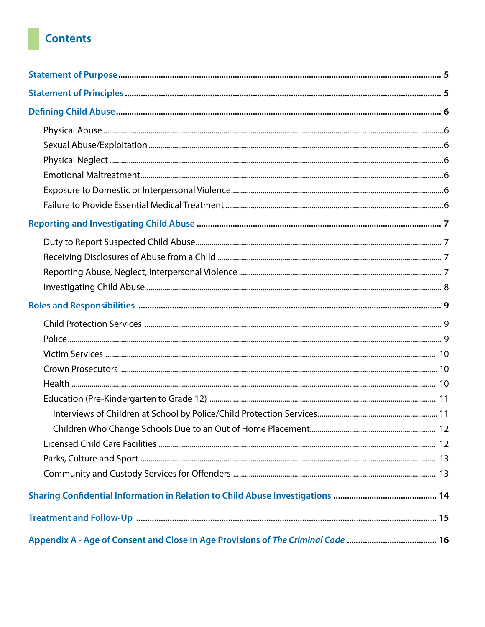# **Contents**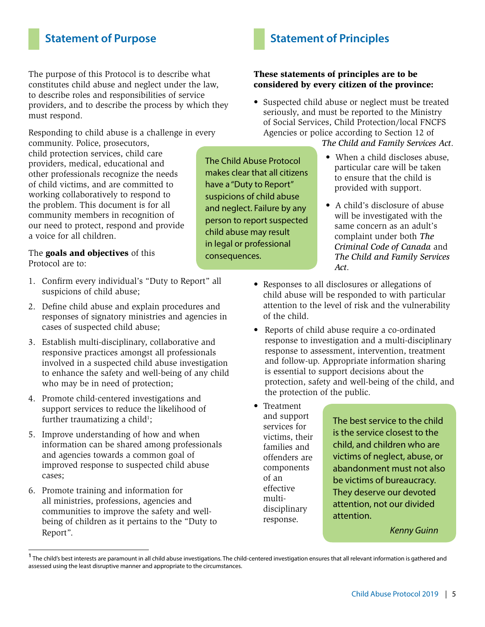# **Statement of Purpose**

The purpose of this Protocol is to describe what constitutes child abuse and neglect under the law, to describe roles and responsibilities of service providers, and to describe the process by which they must respond.

Responding to child abuse is a challenge in every

community. Police, prosecutors, child protection services, child care providers, medical, educational and other professionals recognize the needs of child victims, and are committed to working collaboratively to respond to the problem. This document is for all community members in recognition of our need to protect, respond and provide a voice for all children.

The **goals and objectives** of this Protocol are to:

- 1. Confirm every individual's "Duty to Report" all suspicions of child abuse;
- 2. Define child abuse and explain procedures and responses of signatory ministries and agencies in cases of suspected child abuse;
- 3. Establish multi-disciplinary, collaborative and responsive practices amongst all professionals involved in a suspected child abuse investigation to enhance the safety and well-being of any child who may be in need of protection;
- 4. Promote child-centered investigations and support services to reduce the likelihood of further traumatizing a child<sup>1</sup>;
- 5. Improve understanding of how and when information can be shared among professionals and agencies towards a common goal of improved response to suspected child abuse cases;
- 6. Promote training and information for all ministries, professions, agencies and communities to improve the safety and wellbeing of children as it pertains to the "Duty to Report".

# **Statement of Principles**

#### These statements of principles are to be considered by every citizen of the province:

• Suspected child abuse or neglect must be treated seriously, and must be reported to the Ministry of Social Services, Child Protection/local FNCFS Agencies or police according to Section 12 of

#### *The Child and Family Services Act*.

- When a child discloses abuse, particular care will be taken to ensure that the child is provided with support.
- A child's disclosure of abuse will be investigated with the same concern as an adult's complaint under both *The Criminal Code of Canada* and *The Child and Family Services Act*.
- Responses to all disclosures or allegations of child abuse will be responded to with particular attention to the level of risk and the vulnerability of the child.
- Reports of child abuse require a co-ordinated response to investigation and a multi-disciplinary response to assessment, intervention, treatment and follow-up. Appropriate information sharing is essential to support decisions about the protection, safety and well-being of the child, and the protection of the public.
- Treatment and support services for victims, their families and offenders are components of an effective multidisciplinary response.

The best service to the child is the service closest to the child, and children who are victims of neglect, abuse, or abandonment must not also be victims of bureaucracy. They deserve our devoted attention, not our divided attention.

*Kenny Guinn*

The Child Abuse Protocol makes clear that all citizens have a "Duty to Report" suspicions of child abuse and neglect. Failure by any person to report suspected child abuse may result in legal or professional consequences.

**<sup>1</sup>** The child's best interests are paramount in all child abuse investigations. The child-centered investigation ensures that all relevant information is gathered and assessed using the least disruptive manner and appropriate to the circumstances.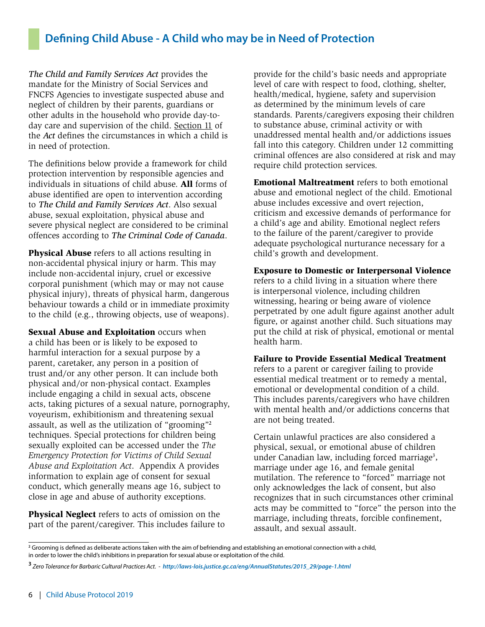# **Defining Child Abuse - A Child who may be in Need of Protection**

*The Child and Family Services Act* provides the mandate for the Ministry of Social Services and FNCFS Agencies to investigate suspected abuse and neglect of children by their parents, guardians or other adults in the household who provide day-today care and supervision of the child. Section 11 of the *Act* defines the circumstances in which a child is in need of protection.

The definitions below provide a framework for child protection intervention by responsible agencies and individuals in situations of child abuse. All forms of abuse identified are open to intervention according to *The Child and Family Services Act*. Also sexual abuse, sexual exploitation, physical abuse and severe physical neglect are considered to be criminal offences according to *The Criminal Code of Canada*.

Physical Abuse refers to all actions resulting in non-accidental physical injury or harm. This may include non-accidental injury, cruel or excessive corporal punishment (which may or may not cause physical injury), threats of physical harm, dangerous behaviour towards a child or in immediate proximity to the child (e.g., throwing objects, use of weapons).

Sexual Abuse and Exploitation occurs when a child has been or is likely to be exposed to harmful interaction for a sexual purpose by a parent, caretaker, any person in a position of trust and/or any other person. It can include both physical and/or non-physical contact. Examples include engaging a child in sexual acts, obscene acts, taking pictures of a sexual nature, pornography, voyeurism, exhibitionism and threatening sexual assault, as well as the utilization of "grooming"<sup>2</sup> techniques. Special protections for children being sexually exploited can be accessed under the *The Emergency Protection for Victims of Child Sexual Abuse and Exploitation Act*. Appendix A provides information to explain age of consent for sexual conduct, which generally means age 16, subject to close in age and abuse of authority exceptions.

Physical Neglect refers to acts of omission on the part of the parent/caregiver. This includes failure to provide for the child's basic needs and appropriate level of care with respect to food, clothing, shelter, health/medical, hygiene, safety and supervision as determined by the minimum levels of care standards. Parents/caregivers exposing their children to substance abuse, criminal activity or with unaddressed mental health and/or addictions issues fall into this category. Children under 12 committing criminal offences are also considered at risk and may require child protection services.

Emotional Maltreatment refers to both emotional abuse and emotional neglect of the child. Emotional abuse includes excessive and overt rejection, criticism and excessive demands of performance for a child's age and ability. Emotional neglect refers to the failure of the parent/caregiver to provide adequate psychological nurturance necessary for a child's growth and development.

#### Exposure to Domestic or Interpersonal Violence

refers to a child living in a situation where there is interpersonal violence, including children witnessing, hearing or being aware of violence perpetrated by one adult figure against another adult figure, or against another child. Such situations may put the child at risk of physical, emotional or mental health harm.

#### Failure to Provide Essential Medical Treatment

refers to a parent or caregiver failing to provide essential medical treatment or to remedy a mental, emotional or developmental condition of a child. This includes parents/caregivers who have children with mental health and/or addictions concerns that are not being treated.

Certain unlawful practices are also considered a physical, sexual, or emotional abuse of children under Canadian law, including forced marriage<sup>3</sup>, marriage under age 16, and female genital mutilation. The reference to "forced" marriage not only acknowledges the lack of consent, but also recognizes that in such circumstances other criminal acts may be committed to "force" the person into the marriage, including threats, forcible confinement, assault, and sexual assault.

**<sup>2</sup>** Grooming is defined as deliberate actions taken with the aim of befriending and establishing an emotional connection with a child, in order to lower the child's inhibitions in preparation for sexual abuse or exploitation of the child.

**<sup>3</sup>**  *Zero Tolerance for Barbaric Cultural Practices Act. - http://laws-lois.justice.gc.ca/eng/AnnualStatutes/2015\_29/page-1.html*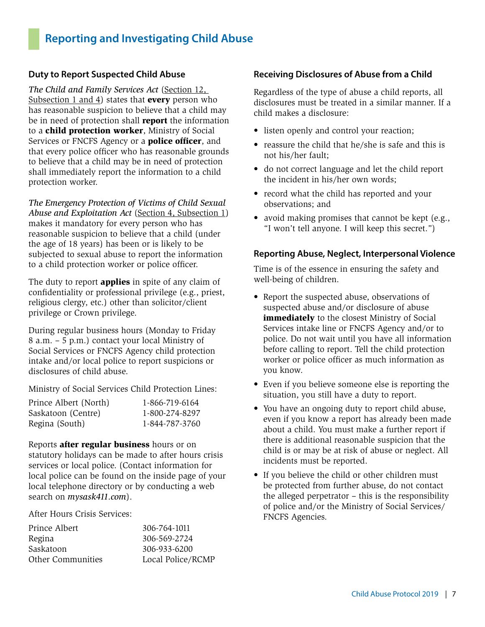# **Reporting and Investigating Child Abuse**

#### **Duty to Report Suspected Child Abuse**

*The Child and Family Services Act* (Section 12, Subsection 1 and 4) states that **every** person who has reasonable suspicion to believe that a child may be in need of protection shall **report** the information to a child protection worker, Ministry of Social Services or FNCFS Agency or a **police officer**, and that every police officer who has reasonable grounds to believe that a child may be in need of protection shall immediately report the information to a child protection worker.

*The Emergency Protection of Victims of Child Sexual Abuse and Exploitation Act* (Section 4, Subsection 1) makes it mandatory for every person who has reasonable suspicion to believe that a child (under the age of 18 years) has been or is likely to be subjected to sexual abuse to report the information to a child protection worker or police officer.

The duty to report **applies** in spite of any claim of confidentiality or professional privilege (e.g., priest, religious clergy, etc.) other than solicitor/client privilege or Crown privilege.

During regular business hours (Monday to Friday 8 a.m. – 5 p.m.) contact your local Ministry of Social Services or FNCFS Agency child protection intake and/or local police to report suspicions or disclosures of child abuse.

Ministry of Social Services Child Protection Lines:

| Prince Albert (North) | 1-866-719-6164 |
|-----------------------|----------------|
| Saskatoon (Centre)    | 1-800-274-8297 |
| Regina (South)        | 1-844-787-3760 |

Reports after regular business hours or on statutory holidays can be made to after hours crisis services or local police. (Contact information for local police can be found on the inside page of your local telephone directory or by conducting a web search on *mysask411.com*).

After Hours Crisis Services:

| 306-764-1011      |
|-------------------|
| 306-569-2724      |
| 306-933-6200      |
| Local Police/RCMP |
|                   |

#### **Receiving Disclosures of Abuse from a Child**

Regardless of the type of abuse a child reports, all disclosures must be treated in a similar manner. If a child makes a disclosure:

- listen openly and control your reaction;
- reassure the child that he/she is safe and this is not his/her fault;
- do not correct language and let the child report the incident in his/her own words;
- record what the child has reported and your observations; and
- avoid making promises that cannot be kept (e.g., "I won't tell anyone. I will keep this secret.")

#### **Reporting Abuse, Neglect, Interpersonal Violence**

Time is of the essence in ensuring the safety and well-being of children.

- Report the suspected abuse, observations of suspected abuse and/or disclosure of abuse immediately to the closest Ministry of Social Services intake line or FNCFS Agency and/or to police. Do not wait until you have all information before calling to report. Tell the child protection worker or police officer as much information as you know.
- Even if you believe someone else is reporting the situation, you still have a duty to report.
- You have an ongoing duty to report child abuse, even if you know a report has already been made about a child. You must make a further report if there is additional reasonable suspicion that the child is or may be at risk of abuse or neglect. All incidents must be reported.
- If you believe the child or other children must be protected from further abuse, do not contact the alleged perpetrator – this is the responsibility of police and/or the Ministry of Social Services/ FNCFS Agencies.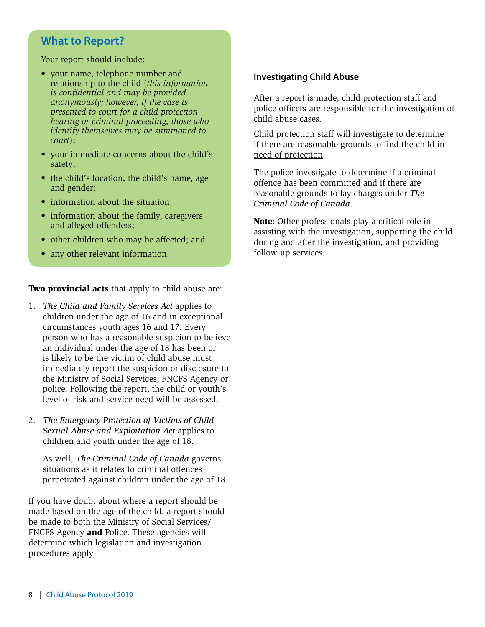## **What to Report?**

Your report should include:

- your name, telephone number and relationship to the child (*this information is confidential and may be provided anonymously; however, if the case is presented to court for a child protection hearing or criminal proceeding, those who identify themselves may be summoned to court*);
- your immediate concerns about the child's safety;
- the child's location, the child's name, age and gender;
- information about the situation:
- information about the family, caregivers and alleged offenders;
- other children who may be affected; and
- any other relevant information.

**Two provincial acts** that apply to child abuse are:

- 1. *The Child and Family Services Act* applies to children under the age of 16 and in exceptional circumstances youth ages 16 and 17. Every person who has a reasonable suspicion to believe an individual under the age of 18 has been or is likely to be the victim of child abuse must immediately report the suspicion or disclosure to the Ministry of Social Services, FNCFS Agency or police. Following the report, the child or youth's level of risk and service need will be assessed.
- 2. *The Emergency Protection of Victims of Child Sexual Abuse and Exploitation Act* applies to children and youth under the age of 18.

As well, *The Criminal Code of Canada* governs situations as it relates to criminal offences perpetrated against children under the age of 18.

If you have doubt about where a report should be made based on the age of the child, a report should be made to both the Ministry of Social Services/ FNCFS Agency and Police. These agencies will determine which legislation and investigation procedures apply.

#### **Investigating Child Abuse**

After a report is made, child protection staff and police officers are responsible for the investigation of child abuse cases.

Child protection staff will investigate to determine if there are reasonable grounds to find the child in need of protection.

The police investigate to determine if a criminal offence has been committed and if there are reasonable grounds to lay charges under *The Criminal Code of Canada*.

Note: Other professionals play a critical role in assisting with the investigation, supporting the child during and after the investigation, and providing follow-up services.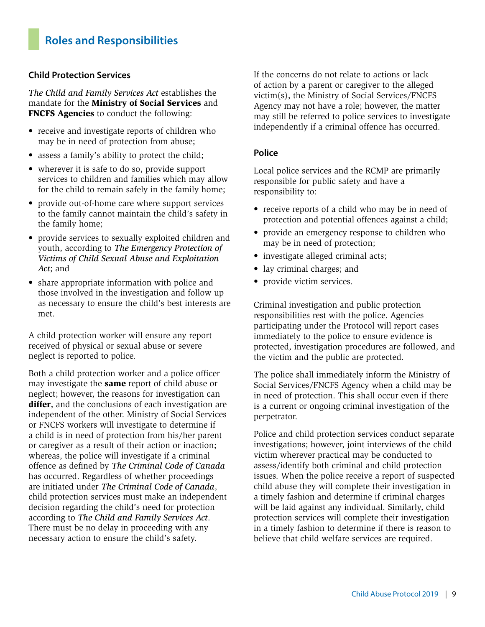# **Roles and Responsibilities**

#### **Child Protection Services**

*The Child and Family Services Act* establishes the mandate for the Ministry of Social Services and FNCFS Agencies to conduct the following:

- receive and investigate reports of children who may be in need of protection from abuse;
- assess a family's ability to protect the child;
- wherever it is safe to do so, provide support services to children and families which may allow for the child to remain safely in the family home;
- provide out-of-home care where support services to the family cannot maintain the child's safety in the family home;
- provide services to sexually exploited children and youth, according to *The Emergency Protection of Victims of Child Sexual Abuse and Exploitation Act*; and
- share appropriate information with police and those involved in the investigation and follow up as necessary to ensure the child's best interests are met.

A child protection worker will ensure any report received of physical or sexual abuse or severe neglect is reported to police.

Both a child protection worker and a police officer may investigate the same report of child abuse or neglect; however, the reasons for investigation can differ, and the conclusions of each investigation are independent of the other. Ministry of Social Services or FNCFS workers will investigate to determine if a child is in need of protection from his/her parent or caregiver as a result of their action or inaction; whereas, the police will investigate if a criminal offence as defined by *The Criminal Code of Canada* has occurred. Regardless of whether proceedings are initiated under *The Criminal Code of Canada*, child protection services must make an independent decision regarding the child's need for protection according to *The Child and Family Services Act*. There must be no delay in proceeding with any necessary action to ensure the child's safety.

If the concerns do not relate to actions or lack of action by a parent or caregiver to the alleged victim(s), the Ministry of Social Services/FNCFS Agency may not have a role; however, the matter may still be referred to police services to investigate independently if a criminal offence has occurred.

#### **Police**

Local police services and the RCMP are primarily responsible for public safety and have a responsibility to:

- receive reports of a child who may be in need of protection and potential offences against a child;
- provide an emergency response to children who may be in need of protection;
- investigate alleged criminal acts;
- lay criminal charges; and
- provide victim services.

Criminal investigation and public protection responsibilities rest with the police. Agencies participating under the Protocol will report cases immediately to the police to ensure evidence is protected, investigation procedures are followed, and the victim and the public are protected.

The police shall immediately inform the Ministry of Social Services/FNCFS Agency when a child may be in need of protection. This shall occur even if there is a current or ongoing criminal investigation of the perpetrator.

Police and child protection services conduct separate investigations; however, joint interviews of the child victim wherever practical may be conducted to assess/identify both criminal and child protection issues. When the police receive a report of suspected child abuse they will complete their investigation in a timely fashion and determine if criminal charges will be laid against any individual. Similarly, child protection services will complete their investigation in a timely fashion to determine if there is reason to believe that child welfare services are required.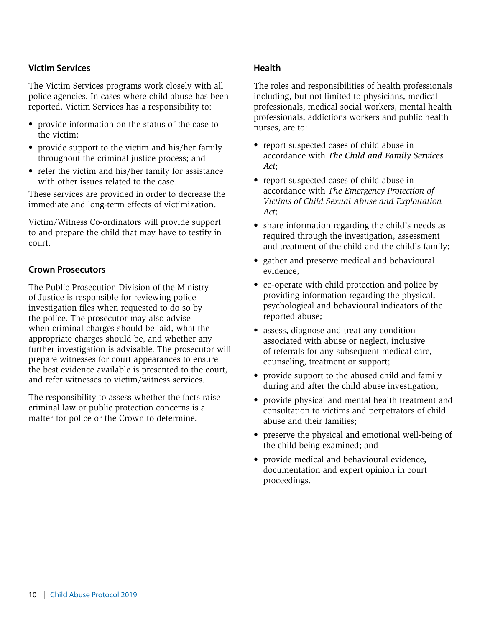#### **Victim Services**

The Victim Services programs work closely with all police agencies. In cases where child abuse has been reported, Victim Services has a responsibility to:

- provide information on the status of the case to the victim;
- provide support to the victim and his/her family throughout the criminal justice process; and
- refer the victim and his/her family for assistance with other issues related to the case.

These services are provided in order to decrease the immediate and long-term effects of victimization.

Victim/Witness Co-ordinators will provide support to and prepare the child that may have to testify in court.

#### **Crown Prosecutors**

The Public Prosecution Division of the Ministry of Justice is responsible for reviewing police investigation files when requested to do so by the police. The prosecutor may also advise when criminal charges should be laid, what the appropriate charges should be, and whether any further investigation is advisable. The prosecutor will prepare witnesses for court appearances to ensure the best evidence available is presented to the court, and refer witnesses to victim/witness services.

The responsibility to assess whether the facts raise criminal law or public protection concerns is a matter for police or the Crown to determine.

#### **Health**

The roles and responsibilities of health professionals including, but not limited to physicians, medical professionals, medical social workers, mental health professionals, addictions workers and public health nurses, are to:

- report suspected cases of child abuse in accordance with *The Child and Family Services Act*;
- report suspected cases of child abuse in accordance with *The Emergency Protection of Victims of Child Sexual Abuse and Exploitation Act*;
- share information regarding the child's needs as required through the investigation, assessment and treatment of the child and the child's family;
- gather and preserve medical and behavioural evidence;
- co-operate with child protection and police by providing information regarding the physical, psychological and behavioural indicators of the reported abuse;
- assess, diagnose and treat any condition associated with abuse or neglect, inclusive of referrals for any subsequent medical care, counseling, treatment or support;
- provide support to the abused child and family during and after the child abuse investigation;
- provide physical and mental health treatment and consultation to victims and perpetrators of child abuse and their families;
- preserve the physical and emotional well-being of the child being examined; and
- provide medical and behavioural evidence, documentation and expert opinion in court proceedings.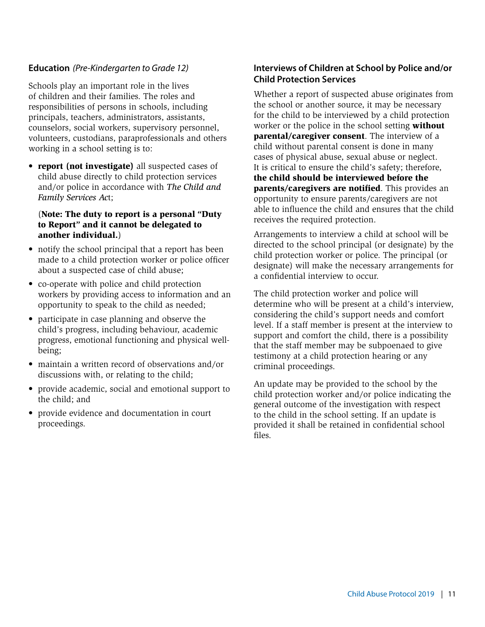#### **Education** *(Pre-Kindergarten to Grade 12)*

Schools play an important role in the lives of children and their families. The roles and responsibilities of persons in schools, including principals, teachers, administrators, assistants, counselors, social workers, supervisory personnel, volunteers, custodians, paraprofessionals and others working in a school setting is to:

• report (not investigate) all suspected cases of child abuse directly to child protection services and/or police in accordance with *The Child and Family Services Ac*t;

#### (Note: The duty to report is a personal "Duty to Report" and it cannot be delegated to another individual.)

- notify the school principal that a report has been made to a child protection worker or police officer about a suspected case of child abuse;
- co-operate with police and child protection workers by providing access to information and an opportunity to speak to the child as needed;
- participate in case planning and observe the child's progress, including behaviour, academic progress, emotional functioning and physical wellbeing;
- maintain a written record of observations and/or discussions with, or relating to the child;
- provide academic, social and emotional support to the child; and
- provide evidence and documentation in court proceedings.

#### **Interviews of Children at School by Police and/or Child Protection Services**

Whether a report of suspected abuse originates from the school or another source, it may be necessary for the child to be interviewed by a child protection worker or the police in the school setting without parental/caregiver consent. The interview of a child without parental consent is done in many cases of physical abuse, sexual abuse or neglect. It is critical to ensure the child's safety; therefore, the child should be interviewed before the parents/caregivers are notified. This provides an opportunity to ensure parents/caregivers are not able to influence the child and ensures that the child receives the required protection.

Arrangements to interview a child at school will be directed to the school principal (or designate) by the child protection worker or police. The principal (or designate) will make the necessary arrangements for a confidential interview to occur.

The child protection worker and police will determine who will be present at a child's interview, considering the child's support needs and comfort level. If a staff member is present at the interview to support and comfort the child, there is a possibility that the staff member may be subpoenaed to give testimony at a child protection hearing or any criminal proceedings.

An update may be provided to the school by the child protection worker and/or police indicating the general outcome of the investigation with respect to the child in the school setting. If an update is provided it shall be retained in confidential school files.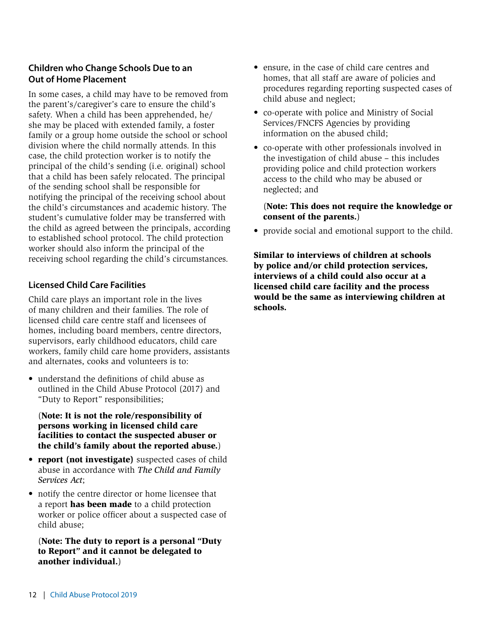#### **Children who Change Schools Due to an Out of Home Placement**

In some cases, a child may have to be removed from the parent's/caregiver's care to ensure the child's safety. When a child has been apprehended, he/ she may be placed with extended family, a foster family or a group home outside the school or school division where the child normally attends. In this case, the child protection worker is to notify the principal of the child's sending (i.e. original) school that a child has been safely relocated. The principal of the sending school shall be responsible for notifying the principal of the receiving school about the child's circumstances and academic history. The student's cumulative folder may be transferred with the child as agreed between the principals, according to established school protocol. The child protection worker should also inform the principal of the receiving school regarding the child's circumstances.

#### **Licensed Child Care Facilities**

Child care plays an important role in the lives of many children and their families. The role of licensed child care centre staff and licensees of homes, including board members, centre directors, supervisors, early childhood educators, child care workers, family child care home providers, assistants and alternates, cooks and volunteers is to:

• understand the definitions of child abuse as outlined in the Child Abuse Protocol (2017) and "Duty to Report" responsibilities;

(Note: It is not the role/responsibility of persons working in licensed child care facilities to contact the suspected abuser or the child's family about the reported abuse.)

- report (not investigate) suspected cases of child abuse in accordance with *The Child and Family Services Act*;
- notify the centre director or home licensee that a report has been made to a child protection worker or police officer about a suspected case of child abuse;

(Note: The duty to report is a personal "Duty to Report" and it cannot be delegated to another individual.)

- ensure, in the case of child care centres and homes, that all staff are aware of policies and procedures regarding reporting suspected cases of child abuse and neglect;
- co-operate with police and Ministry of Social Services/FNCFS Agencies by providing information on the abused child;
- co-operate with other professionals involved in the investigation of child abuse – this includes providing police and child protection workers access to the child who may be abused or neglected; and

#### (Note: This does not require the knowledge or consent of the parents.)

• provide social and emotional support to the child.

Similar to interviews of children at schools by police and/or child protection services, interviews of a child could also occur at a licensed child care facility and the process would be the same as interviewing children at schools.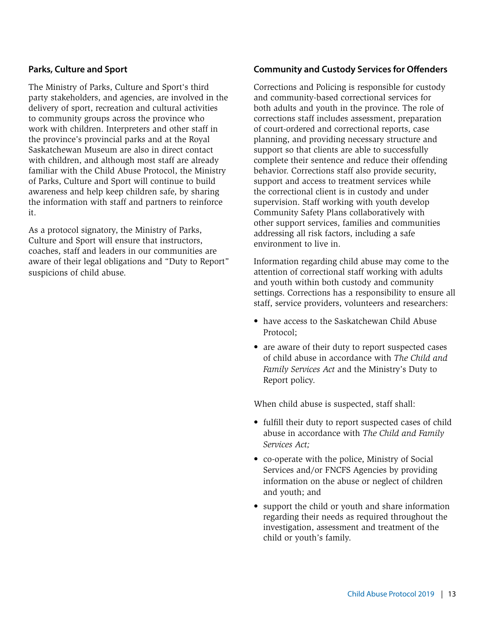#### **Parks, Culture and Sport**

The Ministry of Parks, Culture and Sport's third party stakeholders, and agencies, are involved in the delivery of sport, recreation and cultural activities to community groups across the province who work with children. Interpreters and other staff in the province's provincial parks and at the Royal Saskatchewan Museum are also in direct contact with children, and although most staff are already familiar with the Child Abuse Protocol, the Ministry of Parks, Culture and Sport will continue to build awareness and help keep children safe, by sharing the information with staff and partners to reinforce it.

As a protocol signatory, the Ministry of Parks, Culture and Sport will ensure that instructors, coaches, staff and leaders in our communities are aware of their legal obligations and "Duty to Report" suspicions of child abuse.

#### **Community and Custody Services for Offenders**

Corrections and Policing is responsible for custody and community-based correctional services for both adults and youth in the province. The role of corrections staff includes assessment, preparation of court-ordered and correctional reports, case planning, and providing necessary structure and support so that clients are able to successfully complete their sentence and reduce their offending behavior. Corrections staff also provide security, support and access to treatment services while the correctional client is in custody and under supervision. Staff working with youth develop Community Safety Plans collaboratively with other support services, families and communities addressing all risk factors, including a safe environment to live in.

Information regarding child abuse may come to the attention of correctional staff working with adults and youth within both custody and community settings. Corrections has a responsibility to ensure all staff, service providers, volunteers and researchers:

- have access to the Saskatchewan Child Abuse Protocol;
- are aware of their duty to report suspected cases of child abuse in accordance with *The Child and Family Services Act* and the Ministry's Duty to Report policy.

When child abuse is suspected, staff shall:

- fulfill their duty to report suspected cases of child abuse in accordance with *The Child and Family Services Act;*
- co-operate with the police, Ministry of Social Services and/or FNCFS Agencies by providing information on the abuse or neglect of children and youth; and
- support the child or youth and share information regarding their needs as required throughout the investigation, assessment and treatment of the child or youth's family.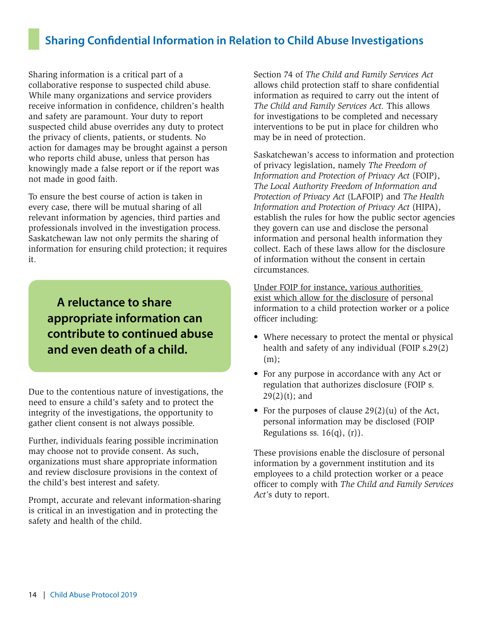# **Sharing Confidential Information in Relation to Child Abuse Investigations**

Sharing information is a critical part of a collaborative response to suspected child abuse. While many organizations and service providers receive information in confidence, children's health and safety are paramount. Your duty to report suspected child abuse overrides any duty to protect the privacy of clients, patients, or students. No action for damages may be brought against a person who reports child abuse, unless that person has knowingly made a false report or if the report was not made in good faith.

To ensure the best course of action is taken in every case, there will be mutual sharing of all relevant information by agencies, third parties and professionals involved in the investigation process. Saskatchewan law not only permits the sharing of information for ensuring child protection; it requires it.

**A reluctance to share appropriate information can contribute to continued abuse and even death of a child.**

Due to the contentious nature of investigations, the need to ensure a child's safety and to protect the integrity of the investigations, the opportunity to gather client consent is not always possible.

Further, individuals fearing possible incrimination may choose not to provide consent. As such, organizations must share appropriate information and review disclosure provisions in the context of the child's best interest and safety.

Prompt, accurate and relevant information-sharing is critical in an investigation and in protecting the safety and health of the child.

Section 74 of *The Child and Family Services Act*  allows child protection staff to share confidential information as required to carry out the intent of *The Child and Family Services Act.* This allows for investigations to be completed and necessary interventions to be put in place for children who may be in need of protection.

Saskatchewan's access to information and protection of privacy legislation, namely *The Freedom of Information and Protection of Privacy Act* (FOIP), *The Local Authority Freedom of Information and Protection of Privacy Act* (LAFOIP) and *The Health Information and Protection of Privacy Act* (HIPA), establish the rules for how the public sector agencies they govern can use and disclose the personal information and personal health information they collect. Each of these laws allow for the disclosure of information without the consent in certain circumstances.

Under FOIP for instance, various authorities exist which allow for the disclosure of personal information to a child protection worker or a police officer including:

- Where necessary to protect the mental or physical health and safety of any individual (FOIP s.29(2) (m);
- For any purpose in accordance with any Act or regulation that authorizes disclosure (FOIP s.  $29(2)(t)$ ; and
- For the purposes of clause 29(2)(u) of the Act, personal information may be disclosed (FOIP Regulations ss.  $16(q)$ ,  $(r)$ ).

These provisions enable the disclosure of personal information by a government institution and its employees to a child protection worker or a peace officer to comply with *The Child and Family Services Act'*s duty to report.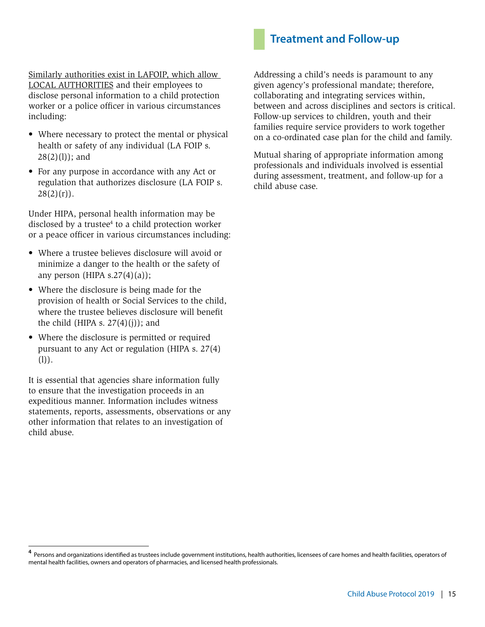## **Treatment and Follow-up**

Similarly authorities exist in LAFOIP, which allow LOCAL AUTHORITIES and their employees to disclose personal information to a child protection worker or a police officer in various circumstances including:

- Where necessary to protect the mental or physical health or safety of any individual (LA FOIP s.  $28(2)(1)$ ; and
- For any purpose in accordance with any Act or regulation that authorizes disclosure (LA FOIP s.  $28(2)(r)$ .

Under HIPA, personal health information may be disclosed by a trustee $4$  to a child protection worker or a peace officer in various circumstances including:

- Where a trustee believes disclosure will avoid or minimize a danger to the health or the safety of any person (HIPA s.27 $(4)(a)$ );
- Where the disclosure is being made for the provision of health or Social Services to the child, where the trustee believes disclosure will benefit the child (HIPA s.  $27(4)(i)$ ); and
- Where the disclosure is permitted or required pursuant to any Act or regulation (HIPA s. 27(4) (l)).

It is essential that agencies share information fully to ensure that the investigation proceeds in an expeditious manner. Information includes witness statements, reports, assessments, observations or any other information that relates to an investigation of child abuse.

Addressing a child's needs is paramount to any given agency's professional mandate; therefore, collaborating and integrating services within, between and across disciplines and sectors is critical. Follow-up services to children, youth and their families require service providers to work together on a co-ordinated case plan for the child and family.

Mutual sharing of appropriate information among professionals and individuals involved is essential during assessment, treatment, and follow-up for a child abuse case.

<sup>&</sup>lt;sup>4</sup> Persons and organizations identified as trustees include government institutions, health authorities, licensees of care homes and health facilities, operators of mental health facilities, owners and operators of pharmacies, and licensed health professionals.